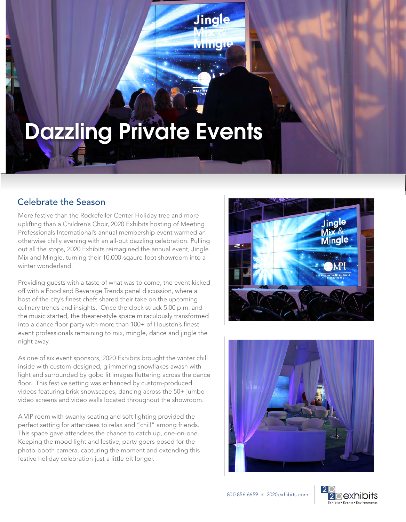## Dazzling Private Events

## Celebrate the Season

More festive than the Rockefeller Center Holiday tree and more uplifting than a Children's Choir, 2020 Exhibits hosting of Meeting Professionals International's annual membership event warmed an otherwise chilly evening with an all-out dazzling celebration. Pulling out all the stops, 2020 Exhibits reimagined the annual event, Jingle Mix and Mingle, turning their 10,000-sqaure-foot showroom into a winter wonderland.

Providing guests with a taste of what was to come, the event kicked off with a Food and Beverage Trends panel discussion, where a host of the city's finest chefs shared their take on the upcoming culinary trends and insights. Once the clock struck 5:00 p.m. and the music started, the theater-style space miraculously transformed into a dance floor party with more than 100+ of Houston's finest event professionals remaining to mix, mingle, dance and jingle the night away.

As one of six event sponsors, 2020 Exhibits brought the winter chill inside with custom-designed, glimmering snowflakes awash with light and surrounded by gobo lit images fluttering across the dance floor. This festive setting was enhanced by custom-produced videos featuring brisk snowscapes, dancing across the 50+ jumbo video screens and video walls located throughout the showroom.

A VIP room with swanky seating and soft lighting provided the perfect setting for attendees to relax and "chill" among friends. This space gave attendees the chance to catch up, one-on-one. Keeping the mood light and festive, party goers posed for the photo-booth camera, capturing the moment and extending this festive holiday celebration just a little bit longer.



í,

Jingle